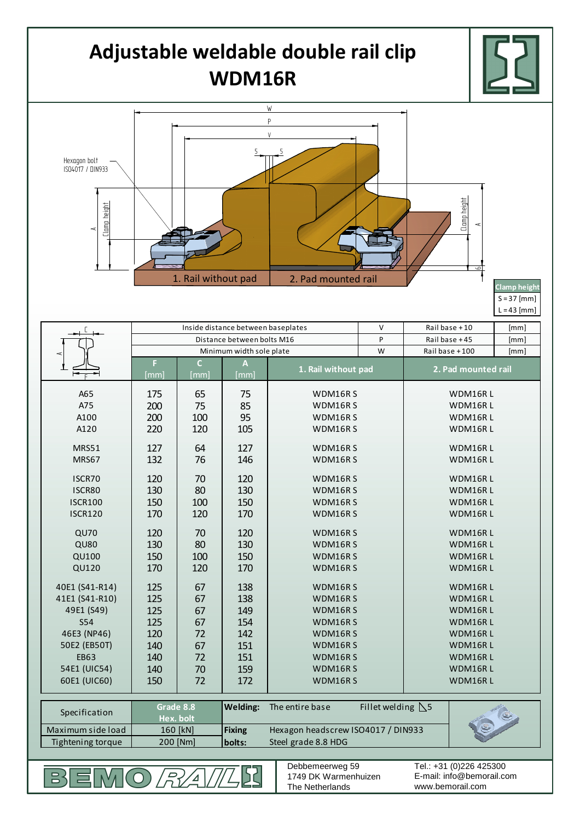## **Adjustable weldable double rail clip WDM16R**



 $S = 37$  [mm]  $L = 43$  [mm]

|                                                                                               | Inside distance between baseplates |                |                                                     |                                                 | V | Rail base +10       | [mm] |
|-----------------------------------------------------------------------------------------------|------------------------------------|----------------|-----------------------------------------------------|-------------------------------------------------|---|---------------------|------|
|                                                                                               | Distance between bolts M16         |                |                                                     |                                                 | P | Rail base +45       | [mm] |
|                                                                                               | Minimum width sole plate           |                |                                                     |                                                 | W | Railbase +100       | [mm] |
|                                                                                               | F                                  | $\overline{C}$ | $\boldsymbol{\mathsf{A}}$                           | 1. Rail without pad                             |   | 2. Pad mounted rail |      |
|                                                                                               | [mm]                               | [mm]           | [mm]                                                |                                                 |   |                     |      |
| A65                                                                                           | 175                                | 65             | 75                                                  | WDM16RS<br>WDM16R L                             |   |                     |      |
| A75                                                                                           | 200                                | 75             | 85                                                  | WDM16RS                                         |   | WDM16RL             |      |
| A100                                                                                          | 200                                | 100            | 95                                                  | WDM16RS                                         |   | WDM16RL             |      |
| A120                                                                                          | 220                                | 120            | 105                                                 | WDM16RS                                         |   | WDM16R L            |      |
| MRS51                                                                                         | 127                                | 64             | 127                                                 | WDM16RS                                         |   | WDM16RL             |      |
| MRS67                                                                                         | 132                                | 76             | 146                                                 | WDM16RS                                         |   | WDM16RL             |      |
| ISCR70                                                                                        | 120                                | 70             | 120                                                 | WDM16RS                                         |   | WDM16RL             |      |
| ISCR80                                                                                        | 130                                | 80             | 130                                                 | WDM16RS                                         |   | WDM16RL             |      |
| <b>ISCR100</b>                                                                                | 150                                | 100            | 150                                                 | WDM16RS                                         |   | WDM16RL             |      |
| <b>ISCR120</b>                                                                                | 170                                | 120            | 170                                                 | WDM16RS                                         |   | WDM16RL             |      |
|                                                                                               |                                    |                |                                                     |                                                 |   |                     |      |
| <b>QU70</b>                                                                                   | 120                                | 70             | 120                                                 | WDM16RS                                         |   | WDM16RL             |      |
| <b>QU80</b>                                                                                   | 130                                | 80             | 130                                                 | WDM16RS                                         |   | WDM16RL             |      |
| QU100                                                                                         | 150                                | 100            | 150                                                 | WDM16RS                                         |   | WDM16RL             |      |
| QU120                                                                                         | 170                                | 120            | 170                                                 | WDM16RS                                         |   | WDM16RL             |      |
| 40E1 (S41-R14)                                                                                | 125                                | 67             | 138                                                 | WDM16RS                                         |   | WDM16RL             |      |
| 41E1 (S41-R10)                                                                                | 125                                | 67             | 138                                                 | WDM16RS                                         |   | WDM16RL             |      |
| 49E1 (S49)                                                                                    | 125                                | 67             | 149                                                 | WDM16RS                                         |   | WDM16RL             |      |
| <b>S54</b>                                                                                    | 125                                | 67             | 154                                                 | WDM16RS                                         |   | WDM16RL             |      |
| 46E3 (NP46)                                                                                   | 120                                | 72             | 142                                                 | WDM16RS                                         |   | WDM16RL             |      |
| 50E2 (EB50T)                                                                                  | 140                                | 67             | 151                                                 | WDM16RS                                         |   | WDM16RL             |      |
| <b>EB63</b>                                                                                   | 140                                | 72             | 151                                                 | WDM16RS                                         |   | WDM16RL             |      |
| 54E1 (UIC54)                                                                                  | 140                                | 70             | 159                                                 | WDM16RS                                         |   | WDM16RL             |      |
| 60E1 (UIC60)                                                                                  | 150                                | 72             | 172                                                 | WDM16RS                                         |   | WDM16RL             |      |
|                                                                                               | Grade 8.8                          |                | <b>Welding:</b>                                     | Fillet welding $\triangle$ 5<br>The entire base |   |                     |      |
| Specification                                                                                 | Hex. bolt                          |                |                                                     |                                                 |   |                     |      |
| Maximum side load                                                                             | 160 [kN]                           |                | <b>Fixing</b><br>Hexagon headscrew ISO4017 / DIN933 |                                                 |   |                     |      |
| 200 [Nm]<br>Steel grade 8.8 HDG<br>Tightening torque<br>bolts:                                |                                    |                |                                                     |                                                 |   |                     |      |
|                                                                                               |                                    |                |                                                     |                                                 |   |                     |      |
| Tel.: +31 (0)226 425300<br>Debbemeerweg 59                                                    |                                    |                |                                                     |                                                 |   |                     |      |
| 1749 DK Warmenhuizen<br>E-mail: info@bemorail.com<br>吕<br>www.bemorail.com<br>The Netherlands |                                    |                |                                                     |                                                 |   |                     |      |
|                                                                                               |                                    |                |                                                     |                                                 |   |                     |      |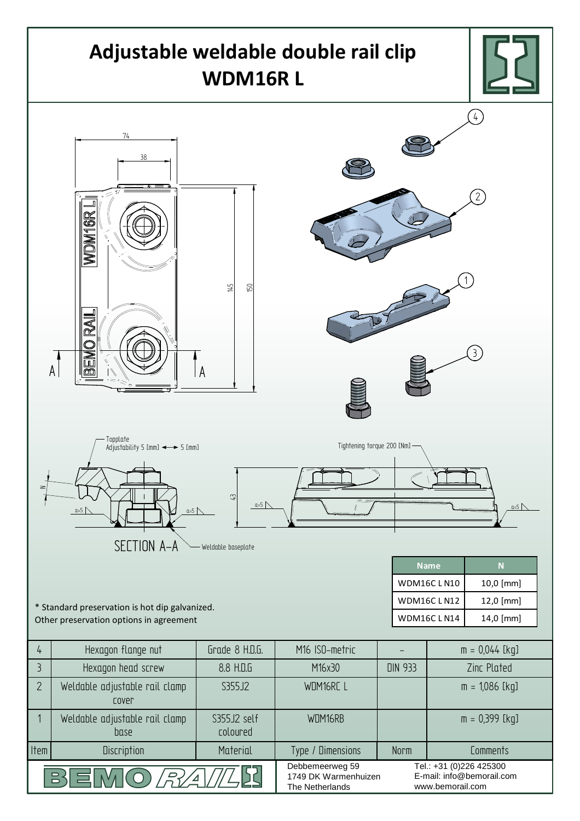